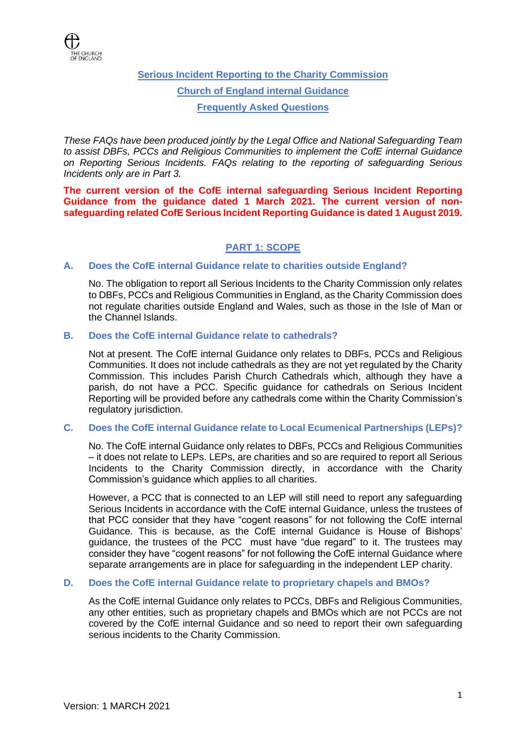

**Serious Incident Reporting to the Charity Commission Church of England internal Guidance Frequently Asked Questions**

*These FAQs have been produced jointly by the Legal Office and National Safeguarding Team to assist DBFs, PCCs and Religious Communities to implement the CofE internal Guidance on Reporting Serious Incidents. FAQs relating to the reporting of safeguarding Serious Incidents only are in Part 3.*

**The current version of the CofE internal safeguarding Serious Incident Reporting Guidance from the guidance dated 1 March 2021. The current version of nonsafeguarding related CofE Serious Incident Reporting Guidance is dated 1 August 2019.**

# **PART 1: SCOPE**

# **A. Does the CofE internal Guidance relate to charities outside England?**

No. The obligation to report all Serious Incidents to the Charity Commission only relates to DBFs, PCCs and Religious Communities in England, as the Charity Commission does not regulate charities outside England and Wales, such as those in the Isle of Man or the Channel Islands.

# **B. Does the CofE internal Guidance relate to cathedrals?**

Not at present. The CofE internal Guidance only relates to DBFs, PCCs and Religious Communities. It does not include cathedrals as they are not yet regulated by the Charity Commission. This includes Parish Church Cathedrals which, although they have a parish, do not have a PCC. Specific guidance for cathedrals on Serious Incident Reporting will be provided before any cathedrals come within the Charity Commission's regulatory jurisdiction.

# **C. Does the CofE internal Guidance relate to Local Ecumenical Partnerships (LEPs)?**

No. The CofE internal Guidance only relates to DBFs, PCCs and Religious Communities – it does not relate to LEPs. LEPs, are charities and so are required to report all Serious Incidents to the Charity Commission directly, in accordance with the Charity Commission's guidance which applies to all charities.

However, a PCC that is connected to an LEP will still need to report any safeguarding Serious Incidents in accordance with the CofE internal Guidance, unless the trustees of that PCC consider that they have "cogent reasons" for not following the CofE internal Guidance. This is because, as the CofE internal Guidance is House of Bishops' guidance, the trustees of the PCC must have "due regard" to it. The trustees may consider they have "cogent reasons" for not following the CofE internal Guidance where separate arrangements are in place for safeguarding in the independent LEP charity.

# **D. Does the CofE internal Guidance relate to proprietary chapels and BMOs?**

As the CofE internal Guidance only relates to PCCs, DBFs and Religious Communities, any other entities, such as proprietary chapels and BMOs which are not PCCs are not covered by the CofE internal Guidance and so need to report their own safeguarding serious incidents to the Charity Commission.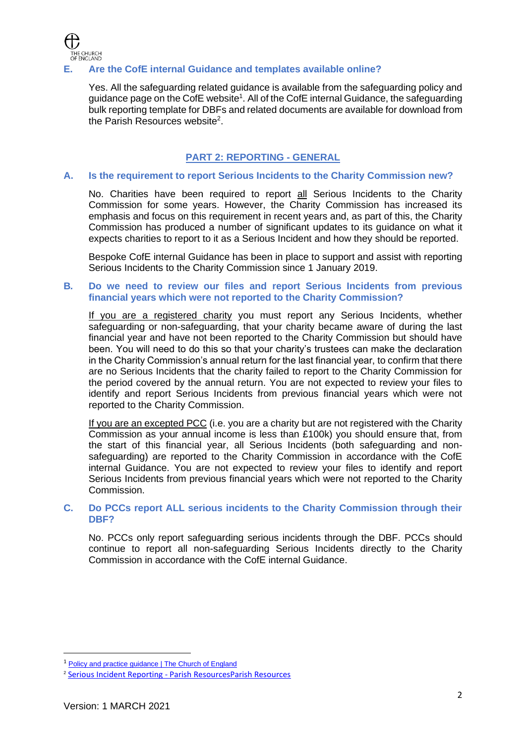

# **E. Are the CofE internal Guidance and templates available online?**

Yes. All the safeguarding related guidance is available from the safeguarding policy and guidance page on the CofE website<sup>1</sup>. All of the CofE internal Guidance, the safeguarding bulk reporting template for DBFs and related documents are available for download from the Parish Resources website<sup>2</sup>.

# **PART 2: REPORTING - GENERAL**

### **A. Is the requirement to report Serious Incidents to the Charity Commission new?**

No. Charities have been required to report all Serious Incidents to the Charity Commission for some years. However, the Charity Commission has increased its emphasis and focus on this requirement in recent years and, as part of this, the Charity Commission has produced a number of significant updates to its guidance on what it expects charities to report to it as a Serious Incident and how they should be reported.

Bespoke CofE internal Guidance has been in place to support and assist with reporting Serious Incidents to the Charity Commission since 1 January 2019.

### **B***.* **Do we need to review our files and report Serious Incidents from previous financial years which were not reported to the Charity Commission?**

If you are a registered charity you must report any Serious Incidents, whether safeguarding or non-safeguarding, that your charity became aware of during the last financial year and have not been reported to the Charity Commission but should have been. You will need to do this so that your charity's trustees can make the declaration in the Charity Commission's annual return for the last financial year, to confirm that there are no Serious Incidents that the charity failed to report to the Charity Commission for the period covered by the annual return. You are not expected to review your files to identify and report Serious Incidents from previous financial years which were not reported to the Charity Commission.

If you are an excepted PCC (i.e. you are a charity but are not registered with the Charity Commission as your annual income is less than £100k) you should ensure that, from the start of this financial year, all Serious Incidents (both safeguarding and nonsafeguarding) are reported to the Charity Commission in accordance with the CofE internal Guidance. You are not expected to review your files to identify and report Serious Incidents from previous financial years which were not reported to the Charity Commission.

### **C. Do PCCs report ALL serious incidents to the Charity Commission through their DBF?**

No. PCCs only report safeguarding serious incidents through the DBF. PCCs should continue to report all non-safeguarding Serious Incidents directly to the Charity Commission in accordance with the CofE internal Guidance.

<sup>1</sup> [Policy and practice guidance | The Church of England](https://www.churchofengland.org/safeguarding/policy-and-practice-guidance)

<sup>2</sup> Serious Incident Reporting - [Parish ResourcesParish Resources](https://www.parishresources.org.uk/pccs/trusteeship/serious-incident-reporting/)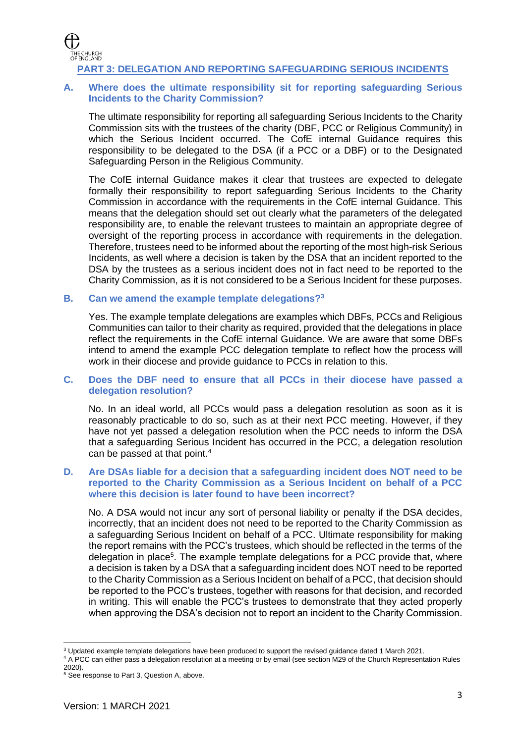

# **PART 3: DELEGATION AND REPORTING SAFEGUARDING SERIOUS INCIDENTS**

# **A. Where does the ultimate responsibility sit for reporting safeguarding Serious Incidents to the Charity Commission?**

The ultimate responsibility for reporting all safeguarding Serious Incidents to the Charity Commission sits with the trustees of the charity (DBF, PCC or Religious Community) in which the Serious Incident occurred. The CofE internal Guidance requires this responsibility to be delegated to the DSA (if a PCC or a DBF) or to the Designated Safeguarding Person in the Religious Community.

The CofE internal Guidance makes it clear that trustees are expected to delegate formally their responsibility to report safeguarding Serious Incidents to the Charity Commission in accordance with the requirements in the CofE internal Guidance. This means that the delegation should set out clearly what the parameters of the delegated responsibility are, to enable the relevant trustees to maintain an appropriate degree of oversight of the reporting process in accordance with requirements in the delegation. Therefore, trustees need to be informed about the reporting of the most high-risk Serious Incidents, as well where a decision is taken by the DSA that an incident reported to the DSA by the trustees as a serious incident does not in fact need to be reported to the Charity Commission, as it is not considered to be a Serious Incident for these purposes.

#### **B. Can we amend the example template delegations?<sup>3</sup>**

Yes. The example template delegations are examples which DBFs, PCCs and Religious Communities can tailor to their charity as required, provided that the delegations in place reflect the requirements in the CofE internal Guidance. We are aware that some DBFs intend to amend the example PCC delegation template to reflect how the process will work in their diocese and provide quidance to PCCs in relation to this.

### **C. Does the DBF need to ensure that all PCCs in their diocese have passed a delegation resolution?**

No. In an ideal world, all PCCs would pass a delegation resolution as soon as it is reasonably practicable to do so, such as at their next PCC meeting. However, if they have not yet passed a delegation resolution when the PCC needs to inform the DSA that a safeguarding Serious Incident has occurred in the PCC, a delegation resolution can be passed at that point.<sup>4</sup>

### **D. Are DSAs liable for a decision that a safeguarding incident does NOT need to be reported to the Charity Commission as a Serious Incident on behalf of a PCC where this decision is later found to have been incorrect?**

No. A DSA would not incur any sort of personal liability or penalty if the DSA decides, incorrectly, that an incident does not need to be reported to the Charity Commission as a safeguarding Serious Incident on behalf of a PCC. Ultimate responsibility for making the report remains with the PCC's trustees, which should be reflected in the terms of the delegation in place<sup>5</sup>. The example template delegations for a PCC provide that, where a decision is taken by a DSA that a safeguarding incident does NOT need to be reported to the Charity Commission as a Serious Incident on behalf of a PCC, that decision should be reported to the PCC's trustees, together with reasons for that decision, and recorded in writing. This will enable the PCC's trustees to demonstrate that they acted properly when approving the DSA's decision not to report an incident to the Charity Commission.

<sup>3</sup> Updated example template delegations have been produced to support the revised guidance dated 1 March 2021.

<sup>4</sup> A PCC can either pass a delegation resolution at a meeting or by email (see section M29 of the Church Representation Rules 2020).

<sup>5</sup> See response to Part 3, Question A, above.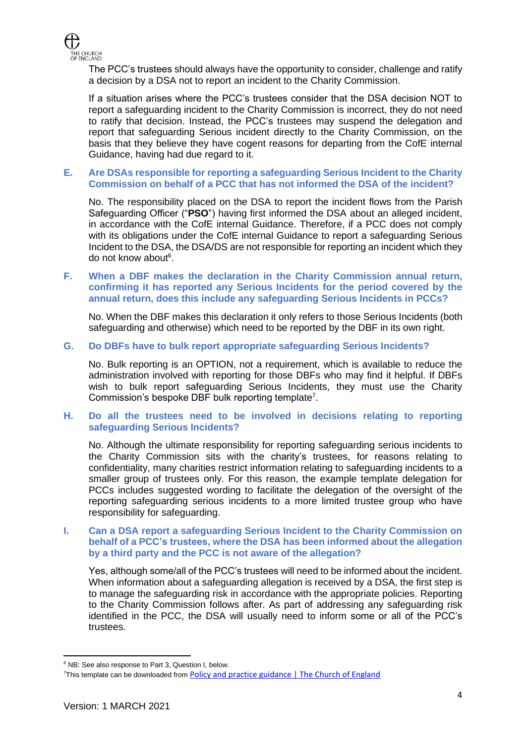

The PCC's trustees should always have the opportunity to consider, challenge and ratify a decision by a DSA not to report an incident to the Charity Commission.

If a situation arises where the PCC's trustees consider that the DSA decision NOT to report a safeguarding incident to the Charity Commission is incorrect, they do not need to ratify that decision. Instead, the PCC's trustees may suspend the delegation and report that safeguarding Serious incident directly to the Charity Commission, on the basis that they believe they have cogent reasons for departing from the CofE internal Guidance, having had due regard to it.

### **E. Are DSAs responsible for reporting a safeguarding Serious Incident to the Charity Commission on behalf of a PCC that has not informed the DSA of the incident?**

No. The responsibility placed on the DSA to report the incident flows from the Parish Safeguarding Officer ("**PSO**") having first informed the DSA about an alleged incident, in accordance with the CofE internal Guidance. Therefore, if a PCC does not comply with its obligations under the CofE internal Guidance to report a safeguarding Serious Incident to the DSA, the DSA/DS are not responsible for reporting an incident which they do not know about<sup>6</sup>.

### **F. When a DBF makes the declaration in the Charity Commission annual return, confirming it has reported any Serious Incidents for the period covered by the annual return, does this include any safeguarding Serious Incidents in PCCs?**

No. When the DBF makes this declaration it only refers to those Serious Incidents (both safeguarding and otherwise) which need to be reported by the DBF in its own right.

### **G. Do DBFs have to bulk report appropriate safeguarding Serious Incidents?**

No. Bulk reporting is an OPTION, not a requirement, which is available to reduce the administration involved with reporting for those DBFs who may find it helpful. If DBFs wish to bulk report safeguarding Serious Incidents, they must use the Charity Commission's bespoke DBF bulk reporting template<sup>7</sup>.

### **H. Do all the trustees need to be involved in decisions relating to reporting safeguarding Serious Incidents?**

No. Although the ultimate responsibility for reporting safeguarding serious incidents to the Charity Commission sits with the charity's trustees, for reasons relating to confidentiality, many charities restrict information relating to safeguarding incidents to a smaller group of trustees only. For this reason, the example template delegation for PCCs includes suggested wording to facilitate the delegation of the oversight of the reporting safeguarding serious incidents to a more limited trustee group who have responsibility for safeguarding.

### **I. Can a DSA report a safeguarding Serious Incident to the Charity Commission on behalf of a PCC's trustees, where the DSA has been informed about the allegation by a third party and the PCC is not aware of the allegation?**

Yes, although some/all of the PCC's trustees will need to be informed about the incident. When information about a safeguarding allegation is received by a DSA, the first step is to manage the safeguarding risk in accordance with the appropriate policies. Reporting to the Charity Commission follows after. As part of addressing any safeguarding risk identified in the PCC, the DSA will usually need to inform some or all of the PCC's trustees.

<sup>6</sup> NB: See also response to Part 3, Question I, below.

<sup>&</sup>lt;sup>7</sup>This template can be downloaded from **Policy and practice guidance** | The Church of England